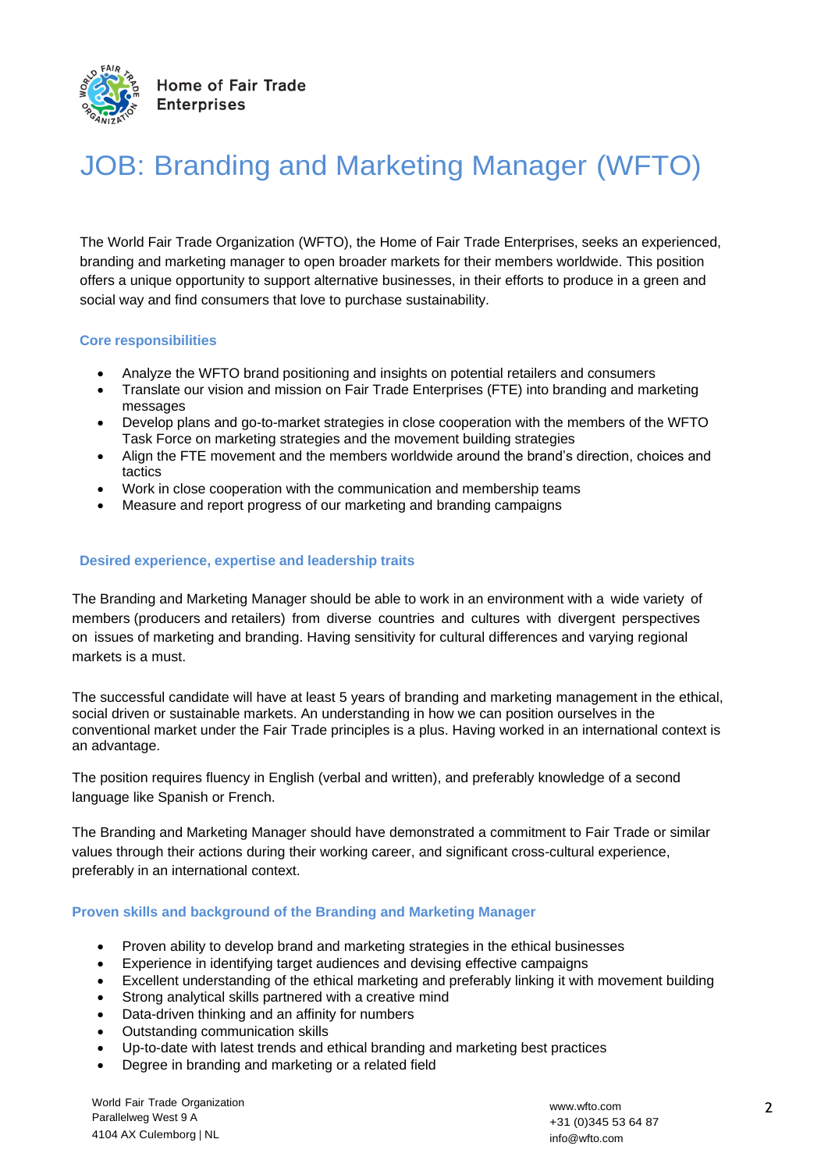

# JOB: Branding and Marketing Manager (WFTO)

The World Fair Trade Organization (WFTO), the Home of Fair Trade Enterprises, seeks an experienced, branding and marketing manager to open broader markets for their members worldwide. This position offers a unique opportunity to support alternative businesses, in their efforts to produce in a green and social way and find consumers that love to purchase sustainability.

## **Core responsibilities**

- Analyze the WFTO brand positioning and insights on potential retailers and consumers
- Translate our vision and mission on Fair Trade Enterprises (FTE) into branding and marketing messages
- Develop plans and go-to-market strategies in close cooperation with the members of the WFTO Task Force on marketing strategies and the movement building strategies
- Align the FTE movement and the members worldwide around the brand's direction, choices and tactics
- Work in close cooperation with the communication and membership teams
- Measure and report progress of our marketing and branding campaigns

#### **Desired experience, expertise and leadership traits**

The Branding and Marketing Manager should be able to work in an environment with a wide variety of members (producers and retailers) from diverse countries and cultures with divergent perspectives on issues of marketing and branding. Having sensitivity for cultural differences and varying regional markets is a must.

The successful candidate will have at least 5 years of branding and marketing management in the ethical, social driven or sustainable markets. An understanding in how we can position ourselves in the conventional market under the Fair Trade principles is a plus. Having worked in an international context is an advantage.

The position requires fluency in English (verbal and written), and preferably knowledge of a second language like Spanish or French.

The Branding and Marketing Manager should have demonstrated a commitment to Fair Trade or similar values through their actions during their working career, and significant cross-cultural experience, preferably in an international context.

#### **Proven skills and background of the Branding and Marketing Manager**

- Proven ability to develop brand and marketing strategies in the ethical businesses
- Experience in identifying target audiences and devising effective campaigns
- Excellent understanding of the ethical marketing and preferably linking it with movement building
- Strong analytical skills partnered with a creative mind
- Data-driven thinking and an affinity for numbers
- Outstanding communication skills
- Up-to-date with latest trends and ethical branding and marketing best practices
- Degree in branding and marketing or a related field

World Fair Trade Organization Parallelweg West 9 A 4104 AX Culemborg | NL